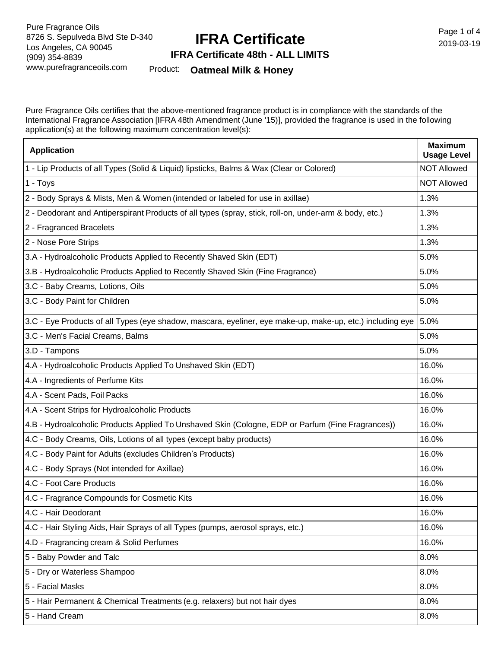# **IFRA Certificate**

Page 1 of 4 2019-03-19

#### **IFRA Certificate 48th - ALL LIMITS**

Product: **Oatmeal Milk & Honey**

Pure Fragrance Oils certifies that the above-mentioned fragrance product is in compliance with the standards of the International Fragrance Association [IFRA 48th Amendment (June '15)], provided the fragrance is used in the following application(s) at the following maximum concentration level(s):

| <b>Application</b>                                                                                        | <b>Maximum</b><br><b>Usage Level</b> |
|-----------------------------------------------------------------------------------------------------------|--------------------------------------|
| 1 - Lip Products of all Types (Solid & Liquid) lipsticks, Balms & Wax (Clear or Colored)                  | <b>NOT Allowed</b>                   |
| 1 - Toys                                                                                                  | <b>NOT Allowed</b>                   |
| 2 - Body Sprays & Mists, Men & Women (intended or labeled for use in axillae)                             | 1.3%                                 |
| 2 - Deodorant and Antiperspirant Products of all types (spray, stick, roll-on, under-arm & body, etc.)    | 1.3%                                 |
| 2 - Fragranced Bracelets                                                                                  | 1.3%                                 |
| 2 - Nose Pore Strips                                                                                      | 1.3%                                 |
| 3.A - Hydroalcoholic Products Applied to Recently Shaved Skin (EDT)                                       | 5.0%                                 |
| 3.B - Hydroalcoholic Products Applied to Recently Shaved Skin (Fine Fragrance)                            | 5.0%                                 |
| 3.C - Baby Creams, Lotions, Oils                                                                          | 5.0%                                 |
| 3.C - Body Paint for Children                                                                             | 5.0%                                 |
| 3.C - Eye Products of all Types (eye shadow, mascara, eyeliner, eye make-up, make-up, etc.) including eye | 5.0%                                 |
| 3.C - Men's Facial Creams, Balms                                                                          | 5.0%                                 |
| 3.D - Tampons                                                                                             | 5.0%                                 |
| 4.A - Hydroalcoholic Products Applied To Unshaved Skin (EDT)                                              | 16.0%                                |
| 4.A - Ingredients of Perfume Kits                                                                         | 16.0%                                |
| 4.A - Scent Pads, Foil Packs                                                                              | 16.0%                                |
| 4.A - Scent Strips for Hydroalcoholic Products                                                            | 16.0%                                |
| 4.B - Hydroalcoholic Products Applied To Unshaved Skin (Cologne, EDP or Parfum (Fine Fragrances))         | 16.0%                                |
| 4.C - Body Creams, Oils, Lotions of all types (except baby products)                                      | 16.0%                                |
| 4.C - Body Paint for Adults (excludes Children's Products)                                                | 16.0%                                |
| 4.C - Body Sprays (Not intended for Axillae)                                                              | 16.0%                                |
| 4.C - Foot Care Products                                                                                  | 16.0%                                |
| 4.C - Fragrance Compounds for Cosmetic Kits                                                               | 16.0%                                |
| 4.C - Hair Deodorant                                                                                      | 16.0%                                |
| 4.C - Hair Styling Aids, Hair Sprays of all Types (pumps, aerosol sprays, etc.)                           | 16.0%                                |
| 4.D - Fragrancing cream & Solid Perfumes                                                                  | 16.0%                                |
| 5 - Baby Powder and Talc                                                                                  | 8.0%                                 |
| 5 - Dry or Waterless Shampoo                                                                              | 8.0%                                 |
| 5 - Facial Masks                                                                                          | 8.0%                                 |
| 5 - Hair Permanent & Chemical Treatments (e.g. relaxers) but not hair dyes                                | 8.0%                                 |
| 5 - Hand Cream                                                                                            | 8.0%                                 |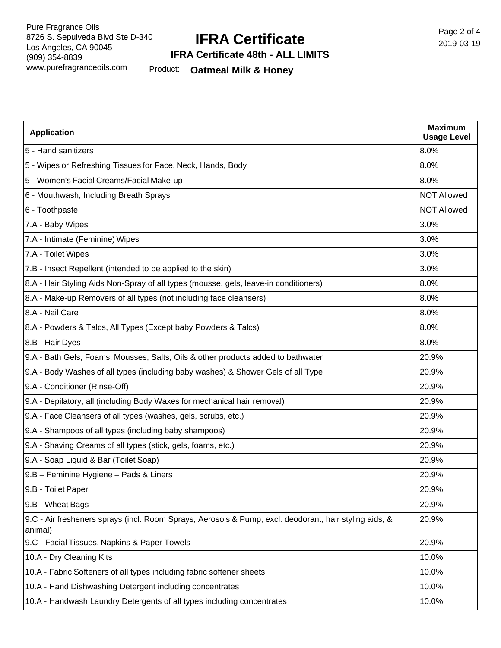## **IFRA Certificate**

Page 2 of 4 2019-03-19

#### **IFRA Certificate 48th - ALL LIMITS**

Product: **Oatmeal Milk & Honey**

|                                                                                                                   | <b>Maximum</b>     |
|-------------------------------------------------------------------------------------------------------------------|--------------------|
| <b>Application</b>                                                                                                | <b>Usage Level</b> |
| 5 - Hand sanitizers                                                                                               | 8.0%               |
| 5 - Wipes or Refreshing Tissues for Face, Neck, Hands, Body                                                       | 8.0%               |
| 5 - Women's Facial Creams/Facial Make-up                                                                          | 8.0%               |
| 6 - Mouthwash, Including Breath Sprays                                                                            | <b>NOT Allowed</b> |
| 6 - Toothpaste                                                                                                    | <b>NOT Allowed</b> |
| 7.A - Baby Wipes                                                                                                  | 3.0%               |
| 7.A - Intimate (Feminine) Wipes                                                                                   | 3.0%               |
| 7.A - Toilet Wipes                                                                                                | 3.0%               |
| 7.B - Insect Repellent (intended to be applied to the skin)                                                       | 3.0%               |
| 8.A - Hair Styling Aids Non-Spray of all types (mousse, gels, leave-in conditioners)                              | 8.0%               |
| 8.A - Make-up Removers of all types (not including face cleansers)                                                | 8.0%               |
| 8.A - Nail Care                                                                                                   | 8.0%               |
| 8.A - Powders & Talcs, All Types (Except baby Powders & Talcs)                                                    | 8.0%               |
| 8.B - Hair Dyes                                                                                                   | 8.0%               |
| 9.A - Bath Gels, Foams, Mousses, Salts, Oils & other products added to bathwater                                  | 20.9%              |
| 9.A - Body Washes of all types (including baby washes) & Shower Gels of all Type                                  | 20.9%              |
| 9.A - Conditioner (Rinse-Off)                                                                                     | 20.9%              |
| 9.A - Depilatory, all (including Body Waxes for mechanical hair removal)                                          | 20.9%              |
| 9.A - Face Cleansers of all types (washes, gels, scrubs, etc.)                                                    | 20.9%              |
| 9.A - Shampoos of all types (including baby shampoos)                                                             | 20.9%              |
| 9.A - Shaving Creams of all types (stick, gels, foams, etc.)                                                      | 20.9%              |
| 9.A - Soap Liquid & Bar (Toilet Soap)                                                                             | 20.9%              |
| 9.B - Feminine Hygiene - Pads & Liners                                                                            | 20.9%              |
| 9.B - Toilet Paper                                                                                                | 20.9%              |
| 9.B - Wheat Bags                                                                                                  | 20.9%              |
| 9.C - Air fresheners sprays (incl. Room Sprays, Aerosols & Pump; excl. deodorant, hair styling aids, &<br>animal) | 20.9%              |
| 9.C - Facial Tissues, Napkins & Paper Towels                                                                      | 20.9%              |
| 10.A - Dry Cleaning Kits                                                                                          | 10.0%              |
| 10.A - Fabric Softeners of all types including fabric softener sheets                                             | 10.0%              |
| 10.A - Hand Dishwashing Detergent including concentrates                                                          | 10.0%              |
| 10.A - Handwash Laundry Detergents of all types including concentrates                                            | 10.0%              |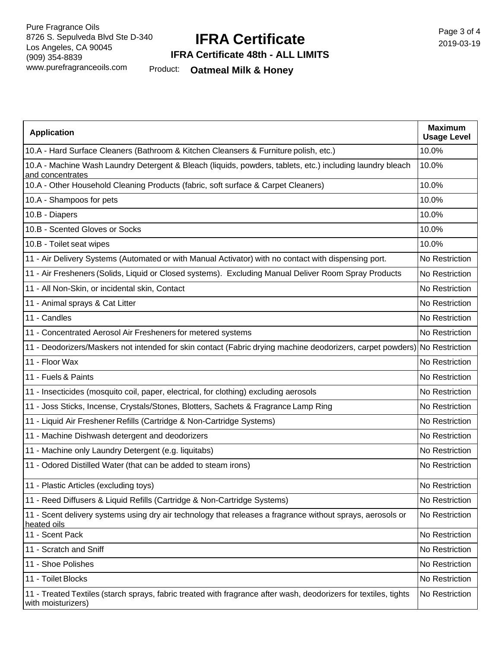# **IFRA Certificate**

Page 3 of 4 2019-03-19

### **IFRA Certificate 48th - ALL LIMITS**

Product: **Oatmeal Milk & Honey**

| <b>Application</b>                                                                                                                     | <b>Maximum</b><br><b>Usage Level</b> |
|----------------------------------------------------------------------------------------------------------------------------------------|--------------------------------------|
| 10.A - Hard Surface Cleaners (Bathroom & Kitchen Cleansers & Furniture polish, etc.)                                                   | 10.0%                                |
| 10.A - Machine Wash Laundry Detergent & Bleach (liquids, powders, tablets, etc.) including laundry bleach<br>and concentrates          | 10.0%                                |
| 10.A - Other Household Cleaning Products (fabric, soft surface & Carpet Cleaners)                                                      | 10.0%                                |
| 10.A - Shampoos for pets                                                                                                               | 10.0%                                |
| 10.B - Diapers                                                                                                                         | 10.0%                                |
| 10.B - Scented Gloves or Socks                                                                                                         | 10.0%                                |
| 10.B - Toilet seat wipes                                                                                                               | 10.0%                                |
| 11 - Air Delivery Systems (Automated or with Manual Activator) with no contact with dispensing port.                                   | No Restriction                       |
| 11 - Air Fresheners (Solids, Liquid or Closed systems). Excluding Manual Deliver Room Spray Products                                   | No Restriction                       |
| 11 - All Non-Skin, or incidental skin, Contact                                                                                         | No Restriction                       |
| 11 - Animal sprays & Cat Litter                                                                                                        | No Restriction                       |
| 11 - Candles                                                                                                                           | No Restriction                       |
| 11 - Concentrated Aerosol Air Fresheners for metered systems                                                                           | No Restriction                       |
| 11 - Deodorizers/Maskers not intended for skin contact (Fabric drying machine deodorizers, carpet powders) No Restriction              |                                      |
| 11 - Floor Wax                                                                                                                         | No Restriction                       |
| 11 - Fuels & Paints                                                                                                                    | No Restriction                       |
| 11 - Insecticides (mosquito coil, paper, electrical, for clothing) excluding aerosols                                                  | No Restriction                       |
| 11 - Joss Sticks, Incense, Crystals/Stones, Blotters, Sachets & Fragrance Lamp Ring                                                    | No Restriction                       |
| 11 - Liquid Air Freshener Refills (Cartridge & Non-Cartridge Systems)                                                                  | No Restriction                       |
| 11 - Machine Dishwash detergent and deodorizers                                                                                        | No Restriction                       |
| 11 - Machine only Laundry Detergent (e.g. liquitabs)                                                                                   | No Restriction                       |
| 11 - Odored Distilled Water (that can be added to steam irons)                                                                         | No Restriction                       |
| 11 - Plastic Articles (excluding toys)                                                                                                 | No Restriction                       |
| 11 - Reed Diffusers & Liquid Refills (Cartridge & Non-Cartridge Systems)                                                               | No Restriction                       |
| 11 - Scent delivery systems using dry air technology that releases a fragrance without sprays, aerosols or<br>heated oils              | No Restriction                       |
| 11 - Scent Pack                                                                                                                        | No Restriction                       |
| 11 - Scratch and Sniff                                                                                                                 | No Restriction                       |
| 11 - Shoe Polishes                                                                                                                     | No Restriction                       |
| 11 - Toilet Blocks                                                                                                                     | No Restriction                       |
| 11 - Treated Textiles (starch sprays, fabric treated with fragrance after wash, deodorizers for textiles, tights<br>with moisturizers) | No Restriction                       |